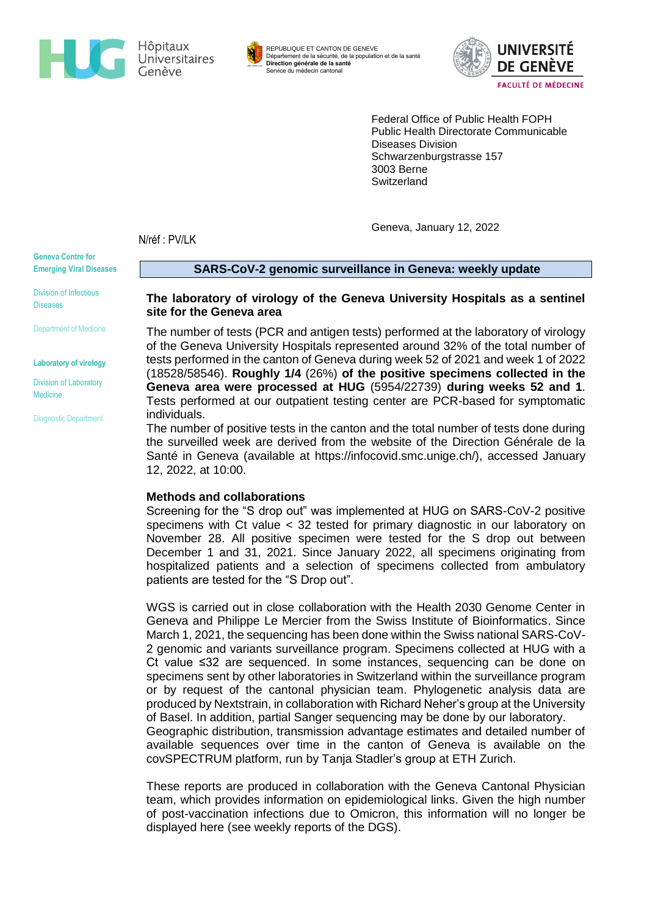

REPUBLIQUE ET CANTON DE GENEVE Département de la sécurité, de la population et de la santé **Direction générale de la santé** Service du médecin cantonal



Federal Office of Public Health FOPH Public Health Directorate Communicable Diseases Division Schwarzenburgstrasse 157 3003 Berne **Switzerland** 

Geneva, January 12, 2022

N/réf : PV/LK

**Geneva Centre for Emerging Viral Diseases**

Division of Infectious Diseases

Department of Medicine

**Laboratory of virology**

Division of Laboratory Medicine

Diagnostic Department

# **SARS-CoV-2 genomic surveillance in Geneva: weekly update**

#### **The laboratory of virology of the Geneva University Hospitals as a sentinel site for the Geneva area**

The number of tests (PCR and antigen tests) performed at the laboratory of virology of the Geneva University Hospitals represented around 32% of the total number of tests performed in the canton of Geneva during week 52 of 2021 and week 1 of 2022 (18528/58546). **Roughly 1/4** (26%) **of the positive specimens collected in the Geneva area were processed at HUG** (5954/22739) **during weeks 52 and 1**. Tests performed at our outpatient testing center are PCR-based for symptomatic individuals.

The number of positive tests in the canton and the total number of tests done during the surveilled week are derived from the website of the Direction Générale de la Santé in Geneva (available at [https://infocovid.smc.unige.ch/\)](https://infocovid.smc.unige.ch/), accessed January 12, 2022, at 10:00.

#### **Methods and collaborations**

Screening for the "S drop out" was implemented at HUG on SARS-CoV-2 positive specimens with Ct value < 32 tested for primary diagnostic in our laboratory on November 28. All positive specimen were tested for the S drop out between December 1 and 31, 2021. Since January 2022, all specimens originating from hospitalized patients and a selection of specimens collected from ambulatory patients are tested for the "S Drop out".

WGS is carried out in close collaboration with the Health 2030 Genome Center in Geneva and Philippe Le Mercier from the Swiss Institute of Bioinformatics. Since March 1, 2021, the sequencing has been done within the Swiss national SARS-CoV-2 genomic and variants surveillance program. Specimens collected at HUG with a Ct value ≤32 are sequenced. In some instances, sequencing can be done on specimens sent by other laboratories in Switzerland within the surveillance program or by request of the cantonal physician team. Phylogenetic analysis data are produced by Nextstrain, in collaboration with Richard Neher's group at the University of Basel. In addition, partial Sanger sequencing may be done by our laboratory. Geographic distribution, transmission advantage estimates and detailed number of available sequences over time in the canton of Geneva is available on the covSPECTRUM platform, run by Tanja Stadler's group at ETH Zurich.

These reports are produced in collaboration with the Geneva Cantonal Physician team, which provides information on epidemiological links. Given the high number of post-vaccination infections due to Omicron, this information will no longer be displayed here (see weekly reports of the DGS).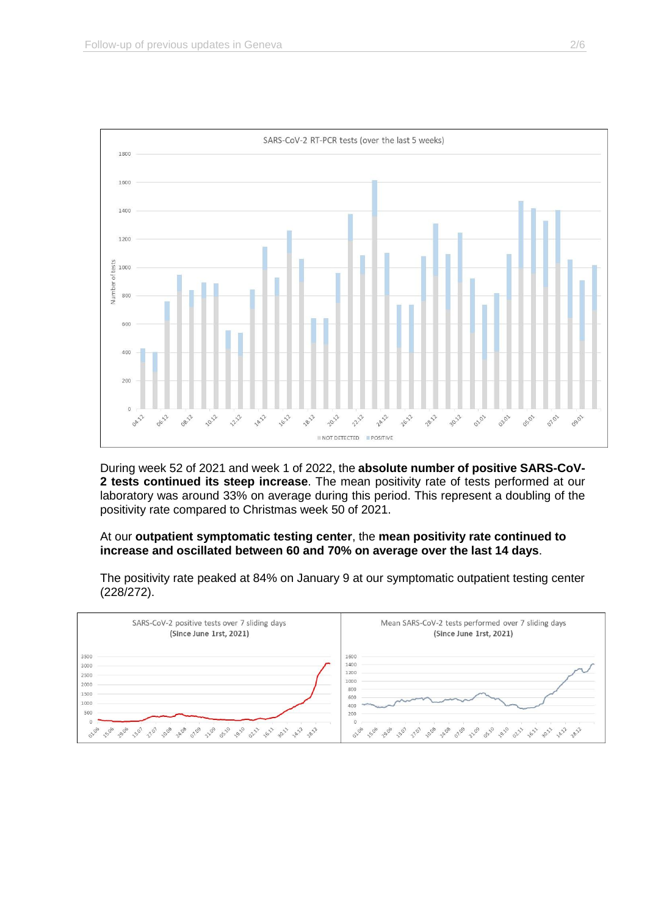

During week 52 of 2021 and week 1 of 2022, the **absolute number of positive SARS-CoV-2 tests continued its steep increase**. The mean positivity rate of tests performed at our laboratory was around 33% on average during this period. This represent a doubling of the positivity rate compared to Christmas week 50 of 2021.

# At our **outpatient symptomatic testing center**, the **mean positivity rate continued to increase and oscillated between 60 and 70% on average over the last 14 days**.

The positivity rate peaked at 84% on January 9 at our symptomatic outpatient testing center (228/272).

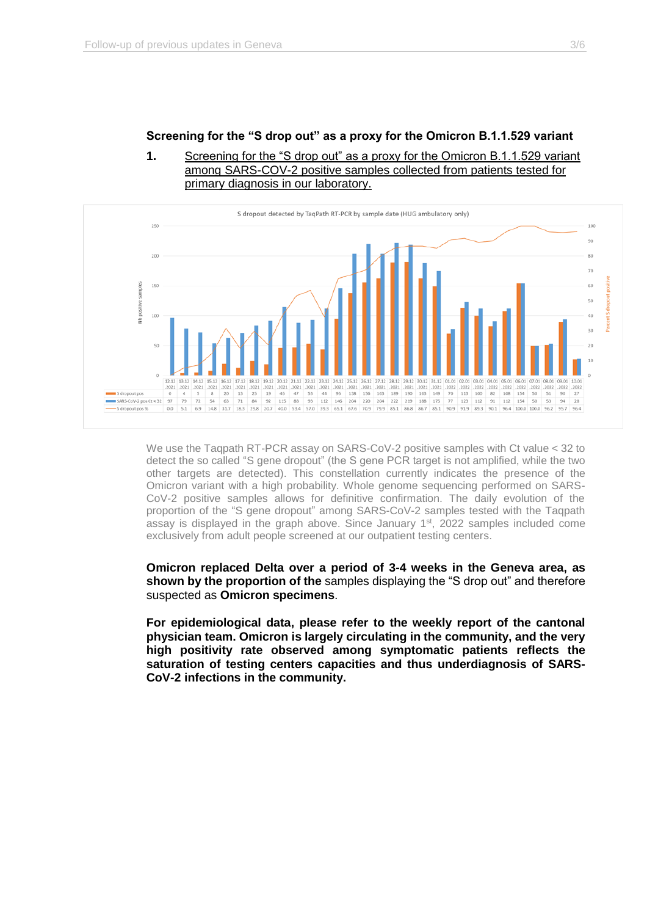# **Screening for the "S drop out" as a proxy for the Omicron B.1.1.529 variant**





We use the Taqpath RT-PCR assay on SARS-CoV-2 positive samples with Ct value < 32 to detect the so called "S gene dropout" (the S gene PCR target is not amplified, while the two other targets are detected). This constellation currently indicates the presence of the Omicron variant with a high probability. Whole genome sequencing performed on SARS-CoV-2 positive samples allows for definitive confirmation. The daily evolution of the proportion of the "S gene dropout" among SARS-CoV-2 samples tested with the Taqpath assay is displayed in the graph above. Since January  $1<sup>st</sup>$ , 2022 samples included come exclusively from adult people screened at our outpatient testing centers.

**Omicron replaced Delta over a period of 3-4 weeks in the Geneva area, as shown by the proportion of the** samples displaying the "S drop out" and therefore suspected as **Omicron specimens**.

**For epidemiological data, please refer to the weekly report of the cantonal physician team. Omicron is largely circulating in the community, and the very high positivity rate observed among symptomatic patients reflects the saturation of testing centers capacities and thus underdiagnosis of SARS-CoV-2 infections in the community.**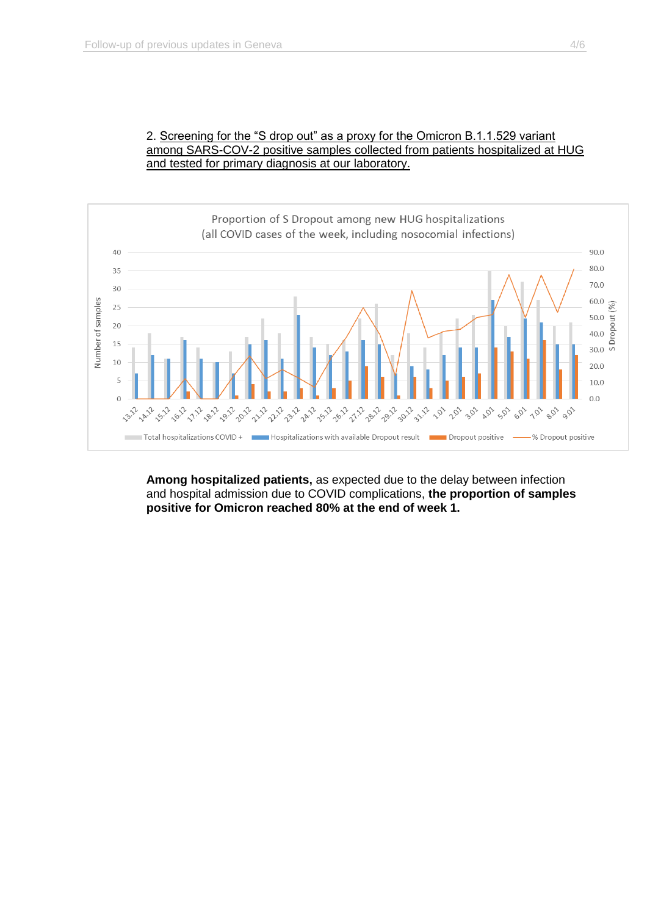



**Among hospitalized patients,** as expected due to the delay between infection and hospital admission due to COVID complications, **the proportion of samples positive for Omicron reached 80% at the end of week 1.**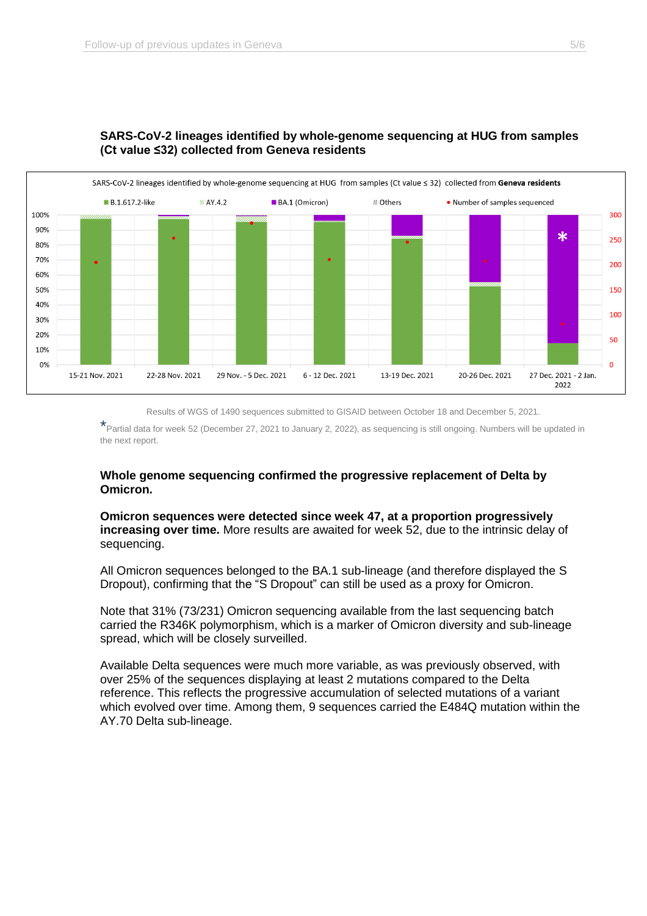

# **SARS-CoV-2 lineages identified by whole-genome sequencing at HUG from samples (Ct value ≤32) collected from Geneva residents**

Results of WGS of 1490 sequences submitted to GISAID between October 18 and December 5, 2021.

\*Partial data for week 52 (December 27, 2021 to January 2, 2022), as sequencing is still ongoing. Numbers will be updated in the next report.

# **Whole genome sequencing confirmed the progressive replacement of Delta by Omicron.**

**Omicron sequences were detected since week 47, at a proportion progressively increasing over time.** More results are awaited for week 52, due to the intrinsic delay of sequencing.

All Omicron sequences belonged to the BA.1 sub-lineage (and therefore displayed the S Dropout), confirming that the "S Dropout" can still be used as a proxy for Omicron.

Note that 31% (73/231) Omicron sequencing available from the last sequencing batch carried the R346K polymorphism, which is a marker of Omicron diversity and sub-lineage spread, which will be closely surveilled.

Available Delta sequences were much more variable, as was previously observed, with over 25% of the sequences displaying at least 2 mutations compared to the Delta reference. This reflects the progressive accumulation of selected mutations of a variant which evolved over time. Among them, 9 sequences carried the E484Q mutation within the AY.70 Delta sub-lineage.